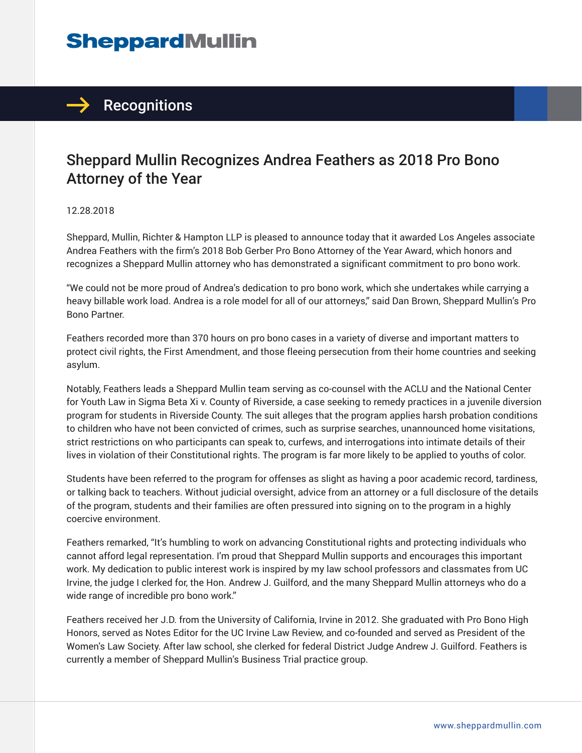# **SheppardMullin**

## $\rightarrow$  Recognitions

### Sheppard Mullin Recognizes Andrea Feathers as 2018 Pro Bono Attorney of the Year

#### 12.28.2018

Sheppard, Mullin, Richter & Hampton LLP is pleased to announce today that it awarded Los Angeles associate Andrea Feathers with the firm's 2018 Bob Gerber Pro Bono Attorney of the Year Award, which honors and recognizes a Sheppard Mullin attorney who has demonstrated a significant commitment to pro bono work.

"We could not be more proud of Andrea's dedication to pro bono work, which she undertakes while carrying a heavy billable work load. Andrea is a role model for all of our attorneys," said Dan Brown, Sheppard Mullin's Pro Bono Partner.

Feathers recorded more than 370 hours on pro bono cases in a variety of diverse and important matters to protect civil rights, the First Amendment, and those fleeing persecution from their home countries and seeking asylum.

Notably, Feathers leads a Sheppard Mullin team serving as co-counsel with the ACLU and the National Center for Youth Law in Sigma Beta Xi v. County of Riverside, a case seeking to remedy practices in a juvenile diversion program for students in Riverside County. The suit alleges that the program applies harsh probation conditions to children who have not been convicted of crimes, such as surprise searches, unannounced home visitations, strict restrictions on who participants can speak to, curfews, and interrogations into intimate details of their lives in violation of their Constitutional rights. The program is far more likely to be applied to youths of color.

Students have been referred to the program for offenses as slight as having a poor academic record, tardiness, or talking back to teachers. Without judicial oversight, advice from an attorney or a full disclosure of the details of the program, students and their families are often pressured into signing on to the program in a highly coercive environment.

Feathers remarked, "It's humbling to work on advancing Constitutional rights and protecting individuals who cannot afford legal representation. I'm proud that Sheppard Mullin supports and encourages this important work. My dedication to public interest work is inspired by my law school professors and classmates from UC Irvine, the judge I clerked for, the Hon. Andrew J. Guilford, and the many Sheppard Mullin attorneys who do a wide range of incredible pro bono work."

Feathers received her J.D. from the University of California, Irvine in 2012. She graduated with Pro Bono High Honors, served as Notes Editor for the UC Irvine Law Review, and co-founded and served as President of the Women's Law Society. After law school, she clerked for federal District Judge Andrew J. Guilford. Feathers is currently a member of Sheppard Mullin's Business Trial practice group.